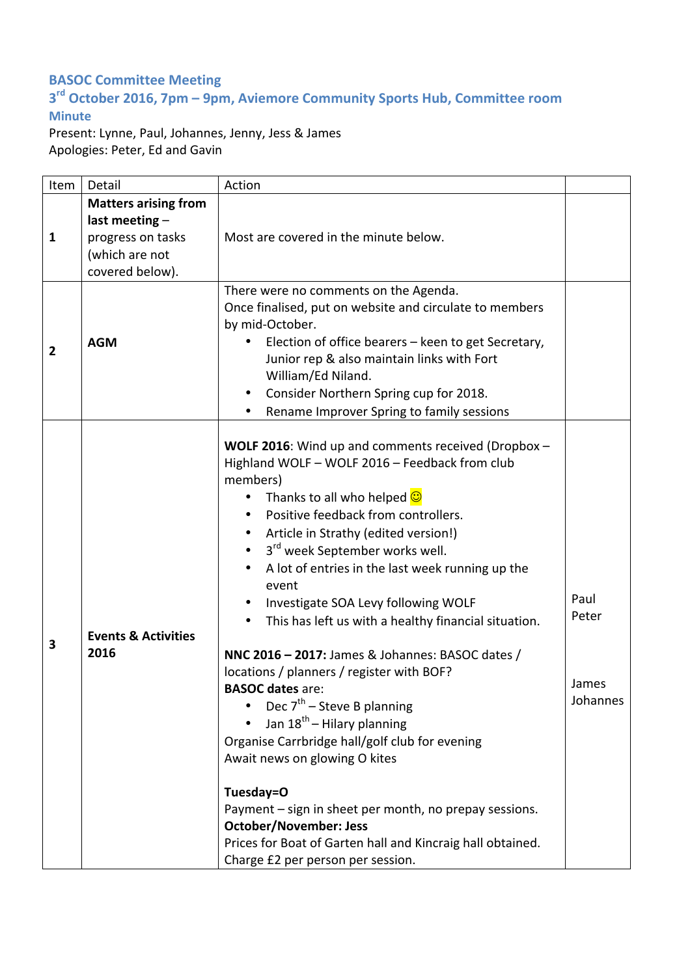## **BASOC Committee Meeting**

## **3rd October 2016, 7pm – 9pm, Aviemore Community Sports Hub, Committee room Minute**

Present: Lynne, Paul, Johannes, Jenny, Jess & James Apologies: Peter, Ed and Gavin

| Item           | Detail                                                                                                  | Action                                                                                                                                                                                                                                                                                                                                                                                                                                                                                                                                                                                                                                                                                                                                                                                                                                                                                                                                                             |                                    |
|----------------|---------------------------------------------------------------------------------------------------------|--------------------------------------------------------------------------------------------------------------------------------------------------------------------------------------------------------------------------------------------------------------------------------------------------------------------------------------------------------------------------------------------------------------------------------------------------------------------------------------------------------------------------------------------------------------------------------------------------------------------------------------------------------------------------------------------------------------------------------------------------------------------------------------------------------------------------------------------------------------------------------------------------------------------------------------------------------------------|------------------------------------|
| $\mathbf{1}$   | <b>Matters arising from</b><br>last meeting -<br>progress on tasks<br>(which are not<br>covered below). | Most are covered in the minute below.                                                                                                                                                                                                                                                                                                                                                                                                                                                                                                                                                                                                                                                                                                                                                                                                                                                                                                                              |                                    |
| $\overline{2}$ | <b>AGM</b>                                                                                              | There were no comments on the Agenda.<br>Once finalised, put on website and circulate to members<br>by mid-October.<br>Election of office bearers - keen to get Secretary,<br>٠<br>Junior rep & also maintain links with Fort<br>William/Ed Niland.<br>Consider Northern Spring cup for 2018.<br>Rename Improver Spring to family sessions                                                                                                                                                                                                                                                                                                                                                                                                                                                                                                                                                                                                                         |                                    |
| 3              | <b>Events &amp; Activities</b><br>2016                                                                  | WOLF 2016: Wind up and comments received (Dropbox -<br>Highland WOLF - WOLF 2016 - Feedback from club<br>members)<br>Thanks to all who helped $\bigcirc$<br>Positive feedback from controllers.<br>Article in Strathy (edited version!)<br>3 <sup>rd</sup> week September works well.<br>$\bullet$<br>A lot of entries in the last week running up the<br>event<br>Investigate SOA Levy following WOLF<br>This has left us with a healthy financial situation.<br>NNC 2016 - 2017: James & Johannes: BASOC dates /<br>locations / planners / register with BOF?<br><b>BASOC dates are:</b><br>Dec $7th$ – Steve B planning<br>Jan 18 <sup>th</sup> – Hilary planning<br>Organise Carrbridge hall/golf club for evening<br>Await news on glowing O kites<br>Tuesday=O<br>Payment - sign in sheet per month, no prepay sessions.<br><b>October/November: Jess</b><br>Prices for Boat of Garten hall and Kincraig hall obtained.<br>Charge £2 per person per session. | Paul<br>Peter<br>James<br>Johannes |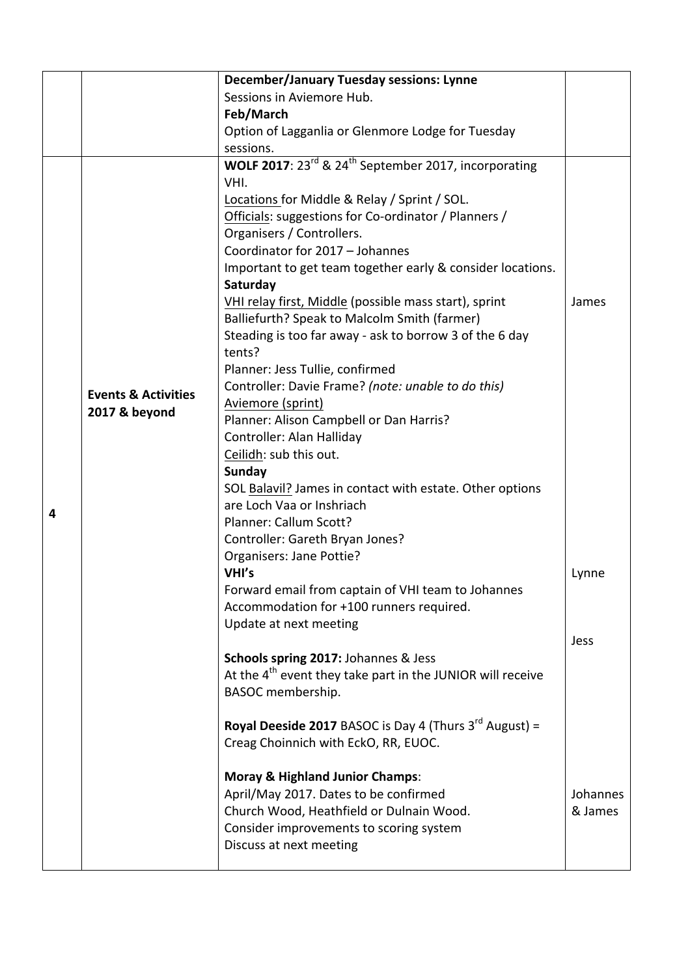|   |                                                 | <b>December/January Tuesday sessions: Lynne</b>                                                                                                                                                                                            |                     |
|---|-------------------------------------------------|--------------------------------------------------------------------------------------------------------------------------------------------------------------------------------------------------------------------------------------------|---------------------|
|   |                                                 | Sessions in Aviemore Hub.                                                                                                                                                                                                                  |                     |
|   |                                                 | Feb/March                                                                                                                                                                                                                                  |                     |
|   |                                                 | Option of Lagganlia or Glenmore Lodge for Tuesday                                                                                                                                                                                          |                     |
|   |                                                 | sessions.                                                                                                                                                                                                                                  |                     |
|   |                                                 | WOLF 2017: $23^{rd}$ & $24^{th}$ September 2017, incorporating                                                                                                                                                                             |                     |
| 4 | <b>Events &amp; Activities</b><br>2017 & beyond | VHI.<br>Locations for Middle & Relay / Sprint / SOL.<br>Officials: suggestions for Co-ordinator / Planners /<br>Organisers / Controllers.<br>Coordinator for 2017 - Johannes<br>Important to get team together early & consider locations. |                     |
|   |                                                 | Saturday<br>VHI relay first, Middle (possible mass start), sprint<br>Balliefurth? Speak to Malcolm Smith (farmer)<br>Steading is too far away - ask to borrow 3 of the 6 day<br>tents?<br>Planner: Jess Tullie, confirmed                  | James               |
|   |                                                 | Controller: Davie Frame? (note: unable to do this)<br>Aviemore (sprint)<br>Planner: Alison Campbell or Dan Harris?                                                                                                                         |                     |
|   |                                                 | Controller: Alan Halliday<br>Ceilidh: sub this out.                                                                                                                                                                                        |                     |
|   |                                                 | <b>Sunday</b><br>SOL Balavil? James in contact with estate. Other options<br>are Loch Vaa or Inshriach<br>Planner: Callum Scott?<br>Controller: Gareth Bryan Jones?                                                                        |                     |
|   |                                                 | Organisers: Jane Pottie?                                                                                                                                                                                                                   |                     |
|   |                                                 | VHI's<br>Forward email from captain of VHI team to Johannes<br>Accommodation for +100 runners required.<br>Update at next meeting                                                                                                          | Lynne               |
|   |                                                 | Schools spring 2017: Johannes & Jess<br>At the 4 <sup>th</sup> event they take part in the JUNIOR will receive<br>BASOC membership.                                                                                                        | Jess                |
|   |                                                 | <b>Royal Deeside 2017</b> BASOC is Day 4 (Thurs $3^{rd}$ August) =<br>Creag Choinnich with EckO, RR, EUOC.                                                                                                                                 |                     |
|   |                                                 | <b>Moray &amp; Highland Junior Champs:</b><br>April/May 2017. Dates to be confirmed<br>Church Wood, Heathfield or Dulnain Wood.<br>Consider improvements to scoring system<br>Discuss at next meeting                                      | Johannes<br>& James |